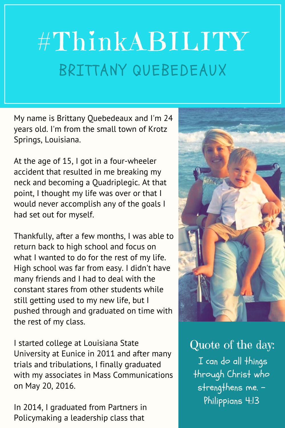## #ThinkABILITY BRITTANY QUEBEDEAUX

My name is Brittany Quebedeaux and I'm 24 years old. I'm from the small town of Krotz Springs, Louisiana.

At the age of 15, I got in a four-wheeler accident that resulted in me breaking my neck and becoming a Quadriplegic. At that point, I thought my life was over or that I would never accomplish any of the goals I had set out for myself.

Thankfully, after a few months, I was able to return back to high school and focus on what I wanted to do for the rest of my life. High school was far from easy. I didn't have many friends and I had to deal with the constant stares from other students while still getting used to my new life, but I pushed through and graduated on time with the rest of my class.

I started college at Louisiana State University at Eunice in 2011 and after many trials and tribulations, I finally graduated with my associates in Mass Communications on May 20, 2016.

In 2014, I graduated from Partners in Policymaking a leadership class that



I can do all things through Christ who strengthens me. -Philippians 4:13 Quote of the day: